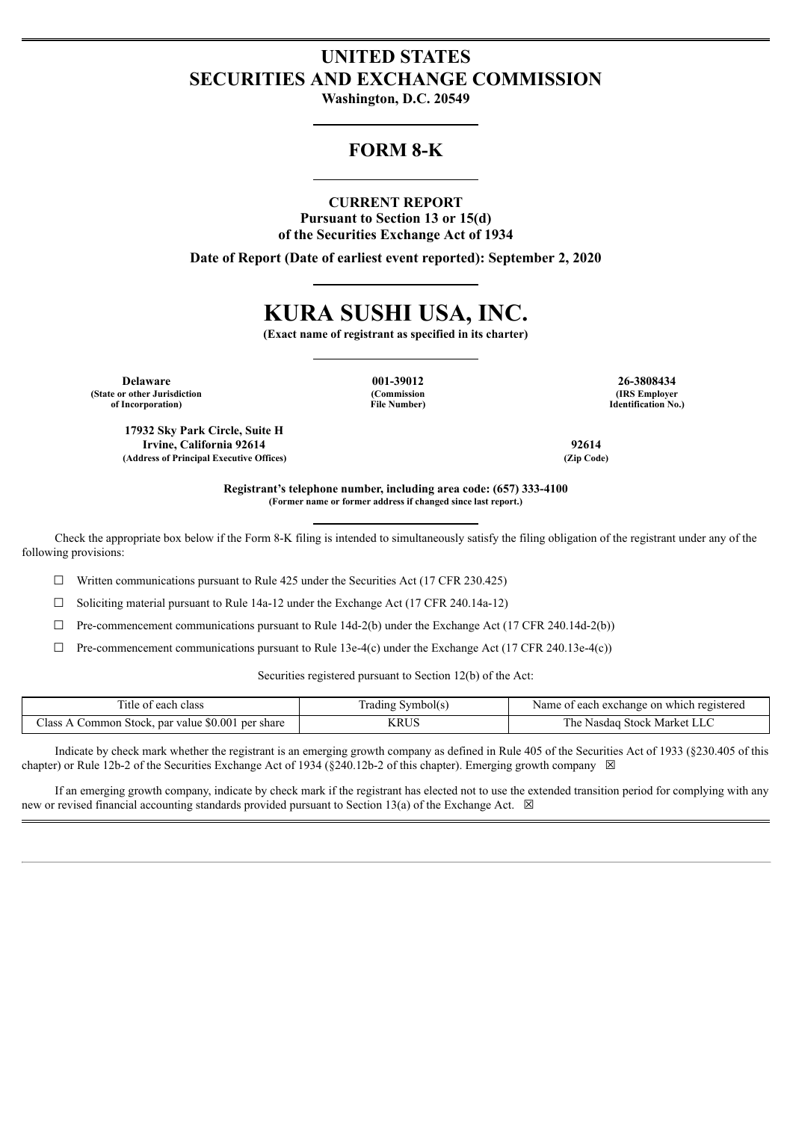# **UNITED STATES SECURITIES AND EXCHANGE COMMISSION**

**Washington, D.C. 20549**

## **FORM 8-K**

#### **CURRENT REPORT**

**Pursuant to Section 13 or 15(d) of the Securities Exchange Act of 1934**

**Date of Report (Date of earliest event reported): September 2, 2020**

# **KURA SUSHI USA, INC.**

**(Exact name of registrant as specified in its charter)**

**Delaware 001-39012 26-3808434 (State or other Jurisdiction of Incorporation)**

**(Commission File Number)**

**(IRS Employer Identification No.)**

**Registrant's telephone number, including area code: (657) 333-4100 (Former name or former address if changed since last report.)**

Check the appropriate box below if the Form 8-K filing is intended to simultaneously satisfy the filing obligation of the registrant under any of the following provisions:

☐ Written communications pursuant to Rule 425 under the Securities Act (17 CFR 230.425)

☐ Soliciting material pursuant to Rule 14a-12 under the Exchange Act (17 CFR 240.14a-12)

 $\Box$  Pre-commencement communications pursuant to Rule 14d-2(b) under the Exchange Act (17 CFR 240.14d-2(b))

☐ Pre-commencement communications pursuant to Rule 13e-4(c) under the Exchange Act (17 CFR 240.13e-4(c))

Securities registered pursuant to Section 12(b) of the Act:

| Title of each class                                       | Symbol(s)<br>frading | Name of each exchange on which registered |
|-----------------------------------------------------------|----------------------|-------------------------------------------|
| Class.<br>., par value \$0.001 per share<br>Common Stock, | KRUS                 | ∣ Stock Market LLC<br>Nasdaq<br>he        |

Indicate by check mark whether the registrant is an emerging growth company as defined in Rule 405 of the Securities Act of 1933 (§230.405 of this chapter) or Rule 12b-2 of the Securities Exchange Act of 1934 (§240.12b-2 of this chapter). Emerging growth company  $\boxtimes$ 

If an emerging growth company, indicate by check mark if the registrant has elected not to use the extended transition period for complying with any new or revised financial accounting standards provided pursuant to Section 13(a) of the Exchange Act.  $\boxtimes$ 

**17932 Sky Park Circle, Suite H Irvine, California 92614 92614 (Address of Principal Executive Offices) (Zip Code)**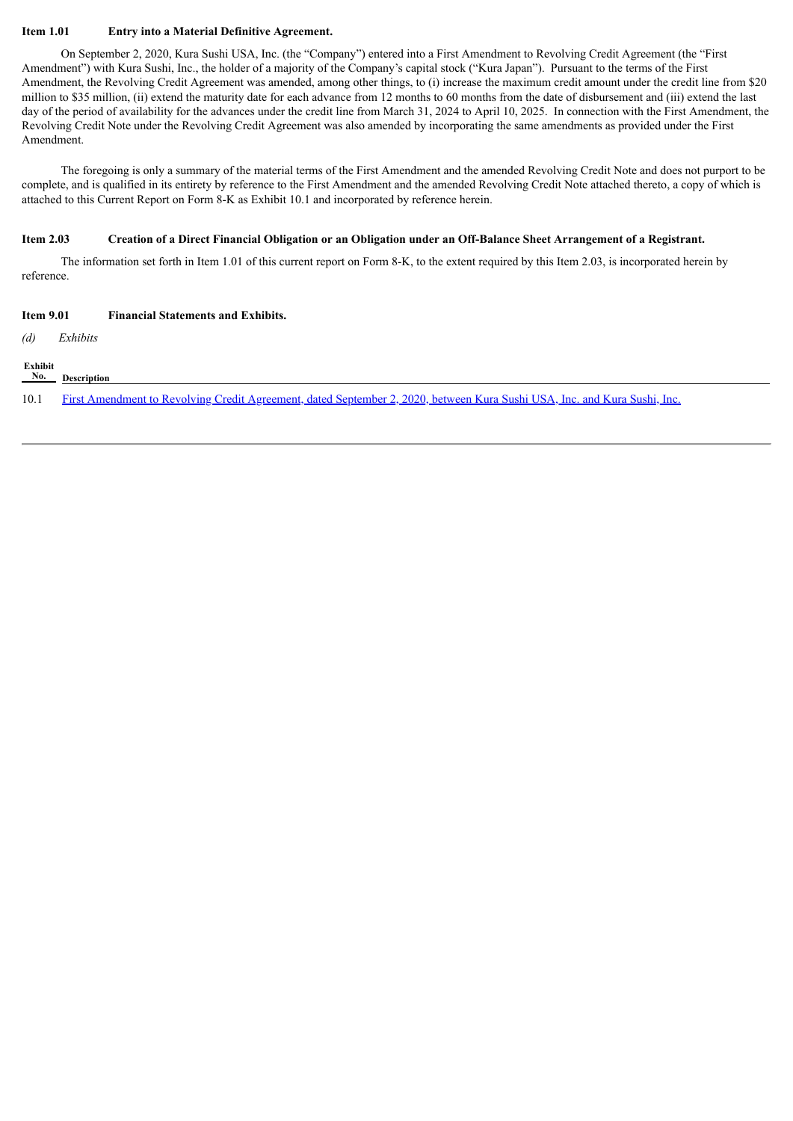#### **Item 1.01 Entry into a Material Definitive Agreement.**

On September 2, 2020, Kura Sushi USA, Inc. (the "Company") entered into a First Amendment to Revolving Credit Agreement (the "First Amendment") with Kura Sushi, Inc., the holder of a majority of the Company's capital stock ("Kura Japan"). Pursuant to the terms of the First Amendment, the Revolving Credit Agreement was amended, among other things, to (i) increase the maximum credit amount under the credit line from \$20 million to \$35 million, (ii) extend the maturity date for each advance from 12 months to 60 months from the date of disbursement and (iii) extend the last day of the period of availability for the advances under the credit line from March 31, 2024 to April 10, 2025. In connection with the First Amendment, the Revolving Credit Note under the Revolving Credit Agreement was also amended by incorporating the same amendments as provided under the First Amendment.

The foregoing is only a summary of the material terms of the First Amendment and the amended Revolving Credit Note and does not purport to be complete, and is qualified in its entirety by reference to the First Amendment and the amended Revolving Credit Note attached thereto, a copy of which is attached to this Current Report on Form 8-K as Exhibit 10.1 and incorporated by reference herein.

#### Item 2.03 Creation of a Direct Financial Obligation or an Obligation under an Off-Balance Sheet Arrangement of a Registrant.

The information set forth in Item 1.01 of this current report on Form 8-K, to the extent required by this Item 2.03, is incorporated herein by reference.

| <b>Item 9.01</b>          | <b>Financial Statements and Exhibits.</b>                                                                                 |  |
|---------------------------|---------------------------------------------------------------------------------------------------------------------------|--|
| (d)                       | Exhibits                                                                                                                  |  |
| Exhibit<br>N <sub>0</sub> | Description                                                                                                               |  |
| 10.1                      | First Amendment to Revolving Credit Agreement, dated September 2, 2020, between Kura Sushi USA, Inc. and Kura Sushi, Inc. |  |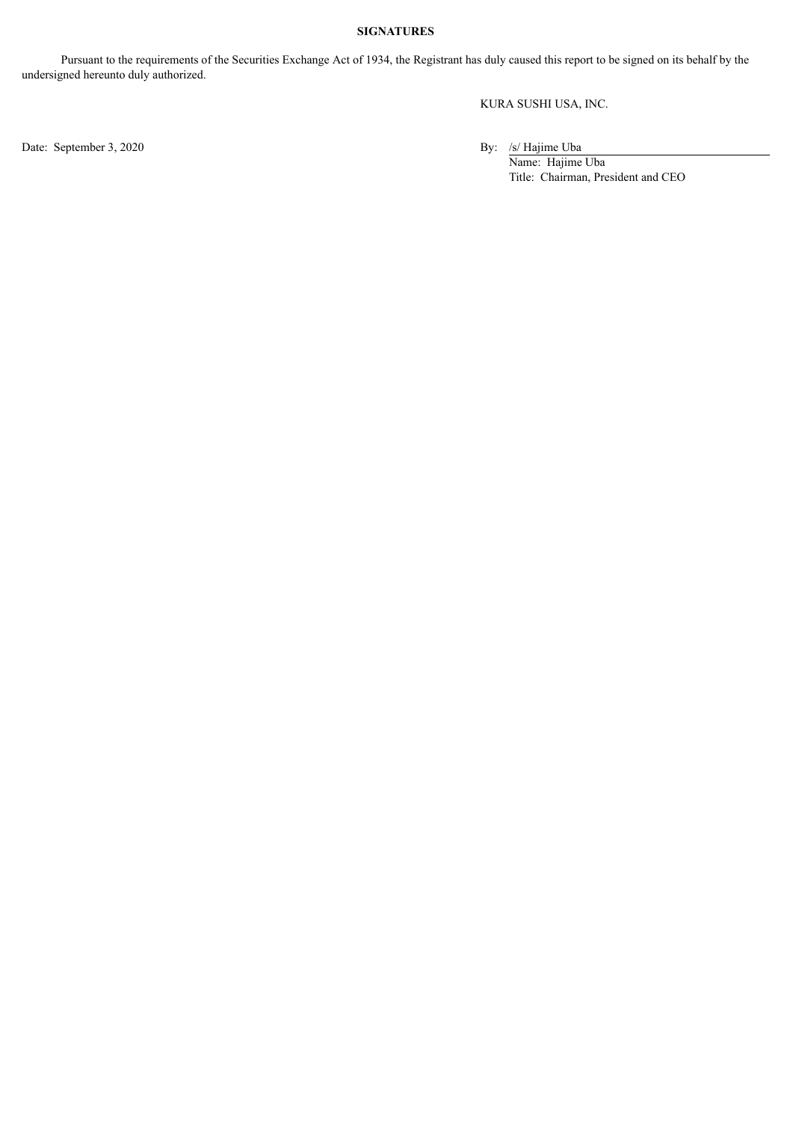#### **SIGNATURES**

Pursuant to the requirements of the Securities Exchange Act of 1934, the Registrant has duly caused this report to be signed on its behalf by the undersigned hereunto duly authorized.

KURA SUSHI USA, INC.

Date: September 3, 2020 By: /s/ Hajime Uba

Name: Hajime Uba Title: Chairman, President and CEO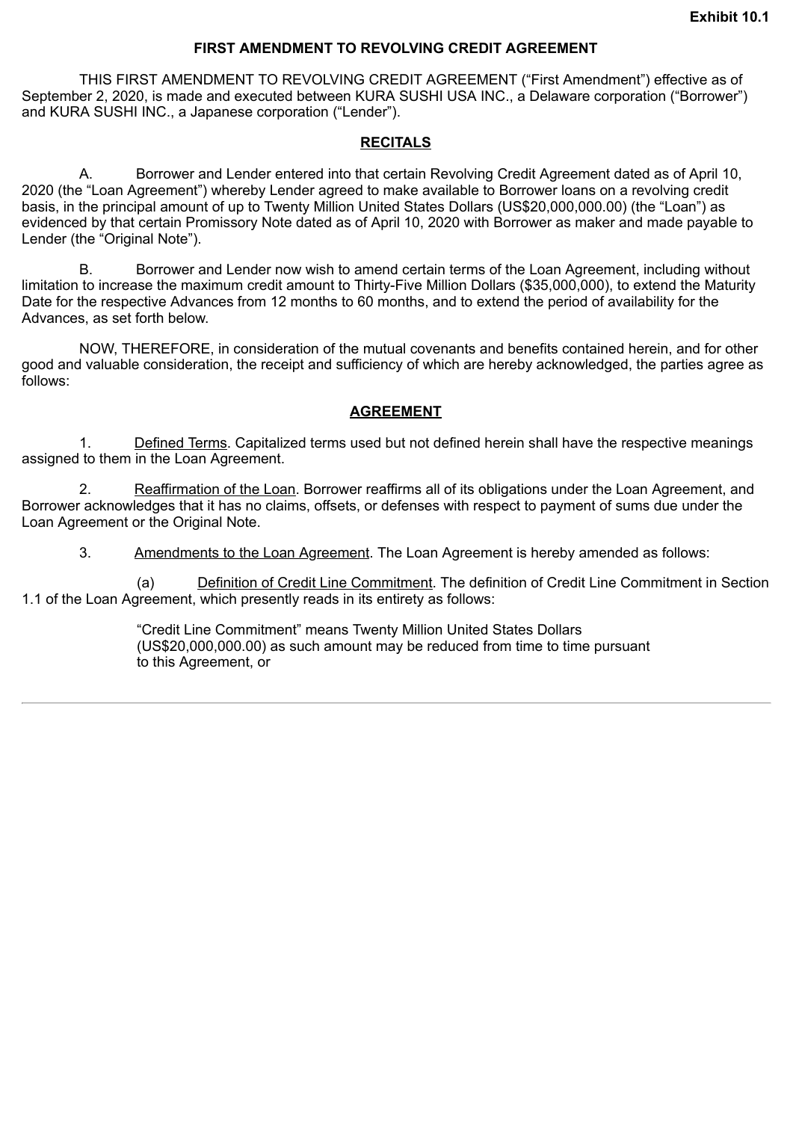#### **FIRST AMENDMENT TO REVOLVING CREDIT AGREEMENT**

<span id="page-3-0"></span>THIS FIRST AMENDMENT TO REVOLVING CREDIT AGREEMENT ("First Amendment") effective as of September 2, 2020, is made and executed between KURA SUSHI USA INC., a Delaware corporation ("Borrower") and KURA SUSHI INC., a Japanese corporation ("Lender").

### **RECITALS**

A. Borrower and Lender entered into that certain Revolving Credit Agreement dated as of April 10, 2020 (the "Loan Agreement") whereby Lender agreed to make available to Borrower loans on a revolving credit basis, in the principal amount of up to Twenty Million United States Dollars (US\$20,000,000.00) (the "Loan") as evidenced by that certain Promissory Note dated as of April 10, 2020 with Borrower as maker and made payable to Lender (the "Original Note").

B. Borrower and Lender now wish to amend certain terms of the Loan Agreement, including without limitation to increase the maximum credit amount to Thirty-Five Million Dollars (\$35,000,000), to extend the Maturity Date for the respective Advances from 12 months to 60 months, and to extend the period of availability for the Advances, as set forth below.

NOW, THEREFORE, in consideration of the mutual covenants and benefits contained herein, and for other good and valuable consideration, the receipt and sufficiency of which are hereby acknowledged, the parties agree as follows:

### **AGREEMENT**

1. Defined Terms. Capitalized terms used but not defined herein shall have the respective meanings assigned to them in the Loan Agreement.

2. Reaffirmation of the Loan. Borrower reaffirms all of its obligations under the Loan Agreement, and Borrower acknowledges that it has no claims, offsets, or defenses with respect to payment of sums due under the Loan Agreement or the Original Note.

3. Amendments to the Loan Agreement. The Loan Agreement is hereby amended as follows:

(a) Definition of Credit Line Commitment. The definition of Credit Line Commitment in Section 1.1 of the Loan Agreement, which presently reads in its entirety as follows:

> "Credit Line Commitment" means Twenty Million United States Dollars (US\$20,000,000.00) as such amount may be reduced from time to time pursuant to this Agreement, or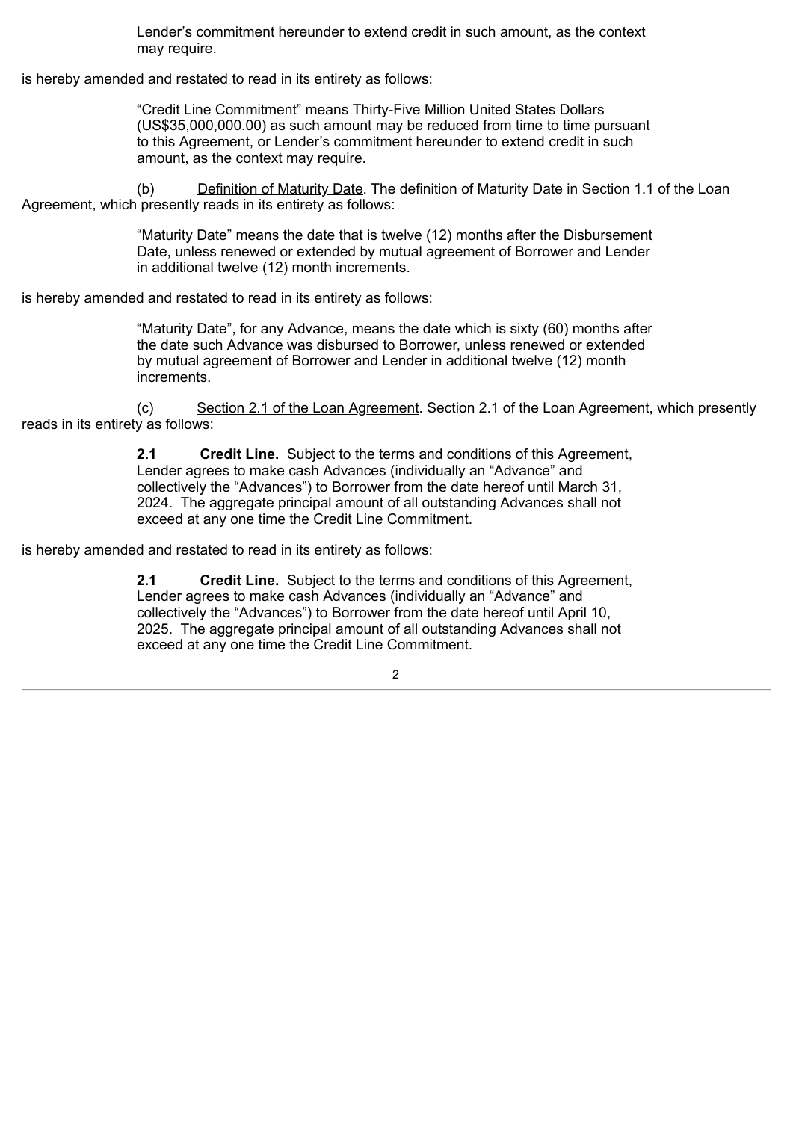Lender's commitment hereunder to extend credit in such amount, as the context may require.

is hereby amended and restated to read in its entirety as follows:

"Credit Line Commitment" means Thirty-Five Million United States Dollars (US\$35,000,000.00) as such amount may be reduced from time to time pursuant to this Agreement, or Lender's commitment hereunder to extend credit in such amount, as the context may require.

(b) Definition of Maturity Date. The definition of Maturity Date in Section 1.1 of the Loan Agreement, which presently reads in its entirety as follows:

> "Maturity Date" means the date that is twelve (12) months after the Disbursement Date, unless renewed or extended by mutual agreement of Borrower and Lender in additional twelve (12) month increments.

is hereby amended and restated to read in its entirety as follows:

"Maturity Date", for any Advance, means the date which is sixty (60) months after the date such Advance was disbursed to Borrower, unless renewed or extended by mutual agreement of Borrower and Lender in additional twelve (12) month increments.

(c) Section 2.1 of the Loan Agreement. Section 2.1 of the Loan Agreement, which presently reads in its entirety as follows:

> **2.1 Credit Line.** Subject to the terms and conditions of this Agreement, Lender agrees to make cash Advances (individually an "Advance" and collectively the "Advances") to Borrower from the date hereof until March 31, 2024. The aggregate principal amount of all outstanding Advances shall not exceed at any one time the Credit Line Commitment.

is hereby amended and restated to read in its entirety as follows:

**2.1 Credit Line.** Subject to the terms and conditions of this Agreement, Lender agrees to make cash Advances (individually an "Advance" and collectively the "Advances") to Borrower from the date hereof until April 10, 2025. The aggregate principal amount of all outstanding Advances shall not exceed at any one time the Credit Line Commitment.

 $\mathcal{L}$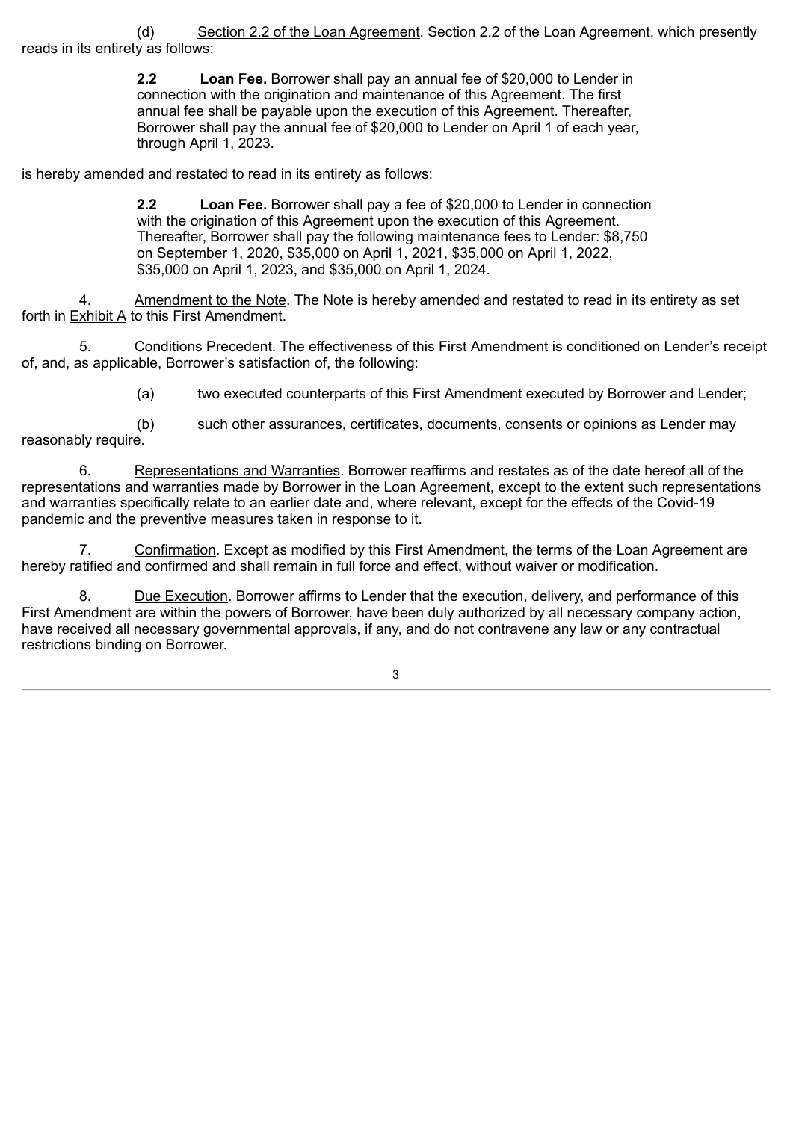(d) Section 2.2 of the Loan Agreement. Section 2.2 of the Loan Agreement, which presently reads in its entirety as follows:

> **2.2 Loan Fee.** Borrower shall pay an annual fee of \$20,000 to Lender in connection with the origination and maintenance of this Agreement. The first annual fee shall be payable upon the execution of this Agreement. Thereafter, Borrower shall pay the annual fee of \$20,000 to Lender on April 1 of each year, through April 1, 2023.

is hereby amended and restated to read in its entirety as follows:

**2.2 Loan Fee.** Borrower shall pay a fee of \$20,000 to Lender in connection with the origination of this Agreement upon the execution of this Agreement. Thereafter, Borrower shall pay the following maintenance fees to Lender: \$8,750 on September 1, 2020, \$35,000 on April 1, 2021, \$35,000 on April 1, 2022, \$35,000 on April 1, 2023, and \$35,000 on April 1, 2024.

4. Amendment to the Note. The Note is hereby amended and restated to read in its entirety as set forth in Exhibit A to this First Amendment.

5. Conditions Precedent. The effectiveness of this First Amendment is conditioned on Lender's receipt of, and, as applicable, Borrower's satisfaction of, the following:

(a) two executed counterparts of this First Amendment executed by Borrower and Lender;

(b) such other assurances, certificates, documents, consents or opinions as Lender may reasonably require.

6. Representations and Warranties. Borrower reaffirms and restates as of the date hereof all of the representations and warranties made by Borrower in the Loan Agreement, except to the extent such representations and warranties specifically relate to an earlier date and, where relevant, except for the effects of the Covid-19 pandemic and the preventive measures taken in response to it.

7. Confirmation. Except as modified by this First Amendment, the terms of the Loan Agreement are hereby ratified and confirmed and shall remain in full force and effect, without waiver or modification.

8. Due Execution. Borrower affirms to Lender that the execution, delivery, and performance of this First Amendment are within the powers of Borrower, have been duly authorized by all necessary company action, have received all necessary governmental approvals, if any, and do not contravene any law or any contractual restrictions binding on Borrower.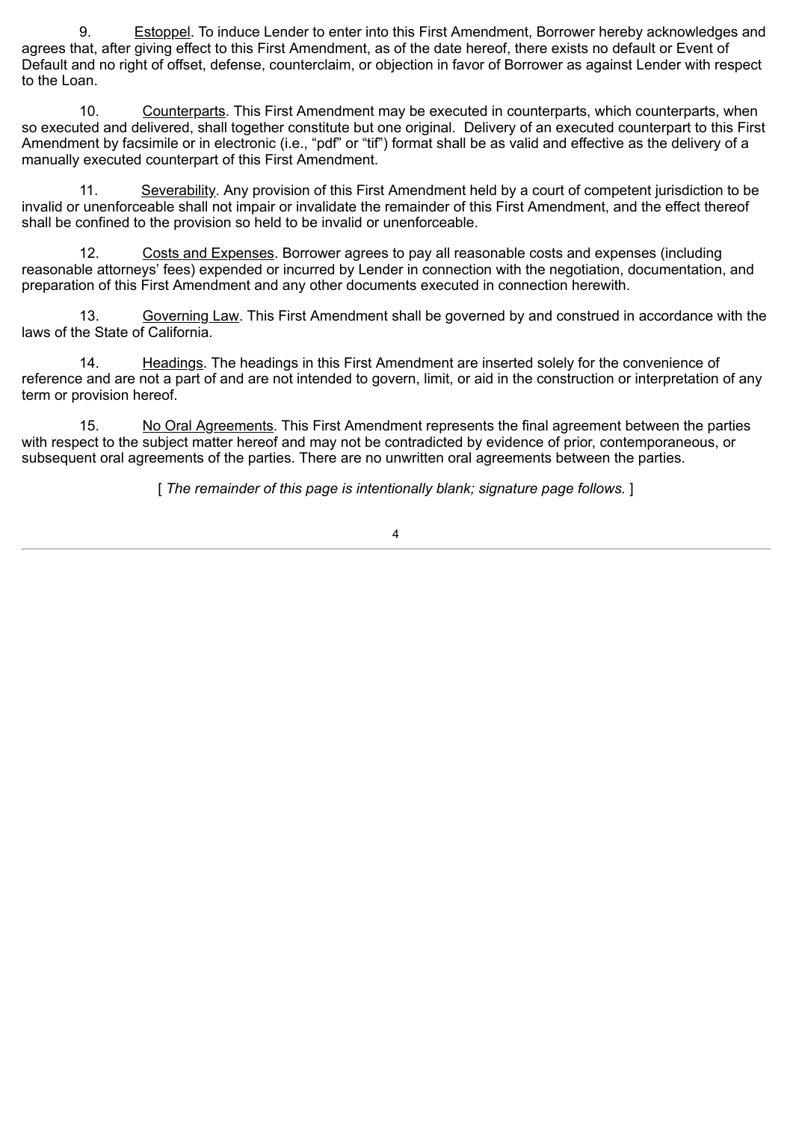9. Estoppel. To induce Lender to enter into this First Amendment, Borrower hereby acknowledges and agrees that, after giving effect to this First Amendment, as of the date hereof, there exists no default or Event of Default and no right of offset, defense, counterclaim, or objection in favor of Borrower as against Lender with respect to the Loan.

10. Counterparts. This First Amendment may be executed in counterparts, which counterparts, when so executed and delivered, shall together constitute but one original. Delivery of an executed counterpart to this First Amendment by facsimile or in electronic (i.e., "pdf" or "tif") format shall be as valid and effective as the delivery of a manually executed counterpart of this First Amendment.

11. Severability. Any provision of this First Amendment held by a court of competent jurisdiction to be invalid or unenforceable shall not impair or invalidate the remainder of this First Amendment, and the effect thereof shall be confined to the provision so held to be invalid or unenforceable.

12. Costs and Expenses. Borrower agrees to pay all reasonable costs and expenses (including reasonable attorneys' fees) expended or incurred by Lender in connection with the negotiation, documentation, and preparation of this First Amendment and any other documents executed in connection herewith.

13. Governing Law. This First Amendment shall be governed by and construed in accordance with the laws of the State of California.

14. Headings. The headings in this First Amendment are inserted solely for the convenience of reference and are not a part of and are not intended to govern, limit, or aid in the construction or interpretation of any term or provision hereof.

15. No Oral Agreements. This First Amendment represents the final agreement between the parties with respect to the subject matter hereof and may not be contradicted by evidence of prior, contemporaneous, or subsequent oral agreements of the parties. There are no unwritten oral agreements between the parties.

[ *The remainder of this page is intentionally blank; signature page follows.* ]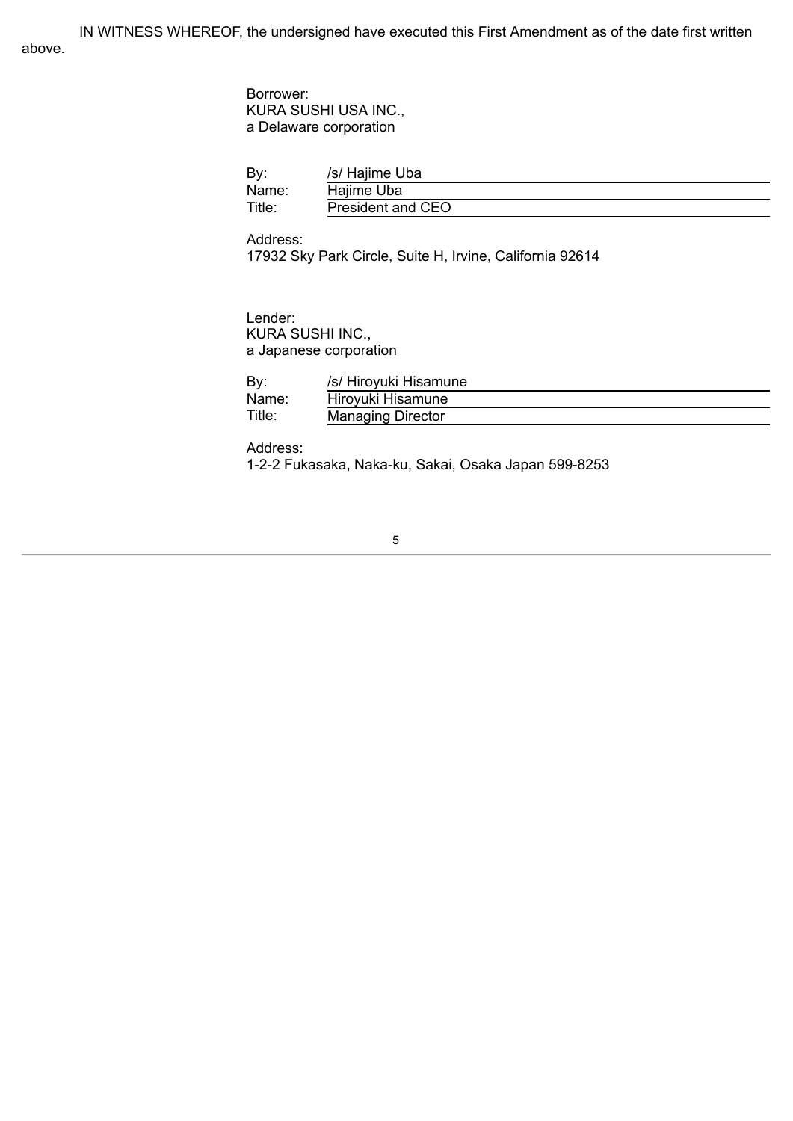IN WITNESS WHEREOF, the undersigned have executed this First Amendment as of the date first written above.

> Borrower: KURA SUSHI USA INC., a Delaware corporation

| By:    | /s/ Hajime Uba    |  |
|--------|-------------------|--|
| Name:  | Hajime Uba        |  |
| Title: | President and CEO |  |

Address: 17932 Sky Park Circle, Suite H, Irvine, California 92614

Lender: KURA SUSHI INC., a Japanese corporation

| By     | /s/ Hiroyuki Hisamune    |
|--------|--------------------------|
| Name:  | Hiroyuki Hisamune        |
| Title: | <b>Managing Director</b> |

Address: 1-2-2 Fukasaka, Naka-ku, Sakai, Osaka Japan 599-8253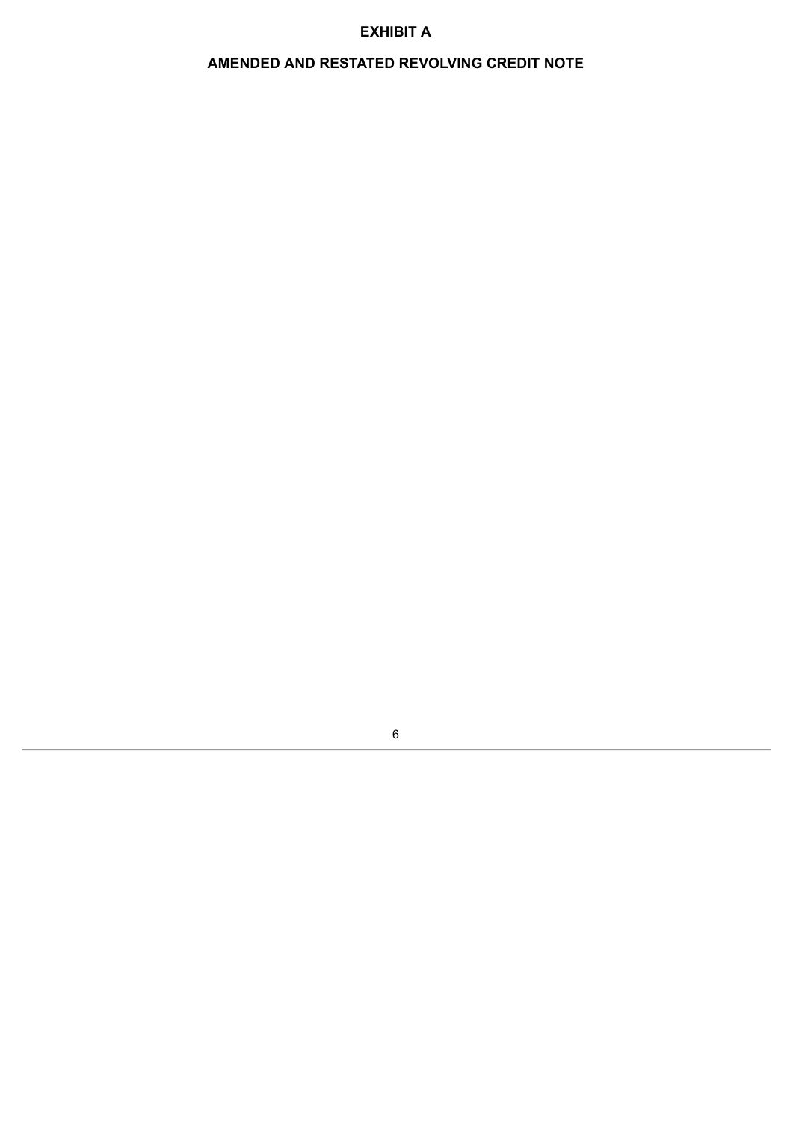## **EXHIBIT A**

# **AMENDED AND RESTATED REVOLVING CREDIT NOTE**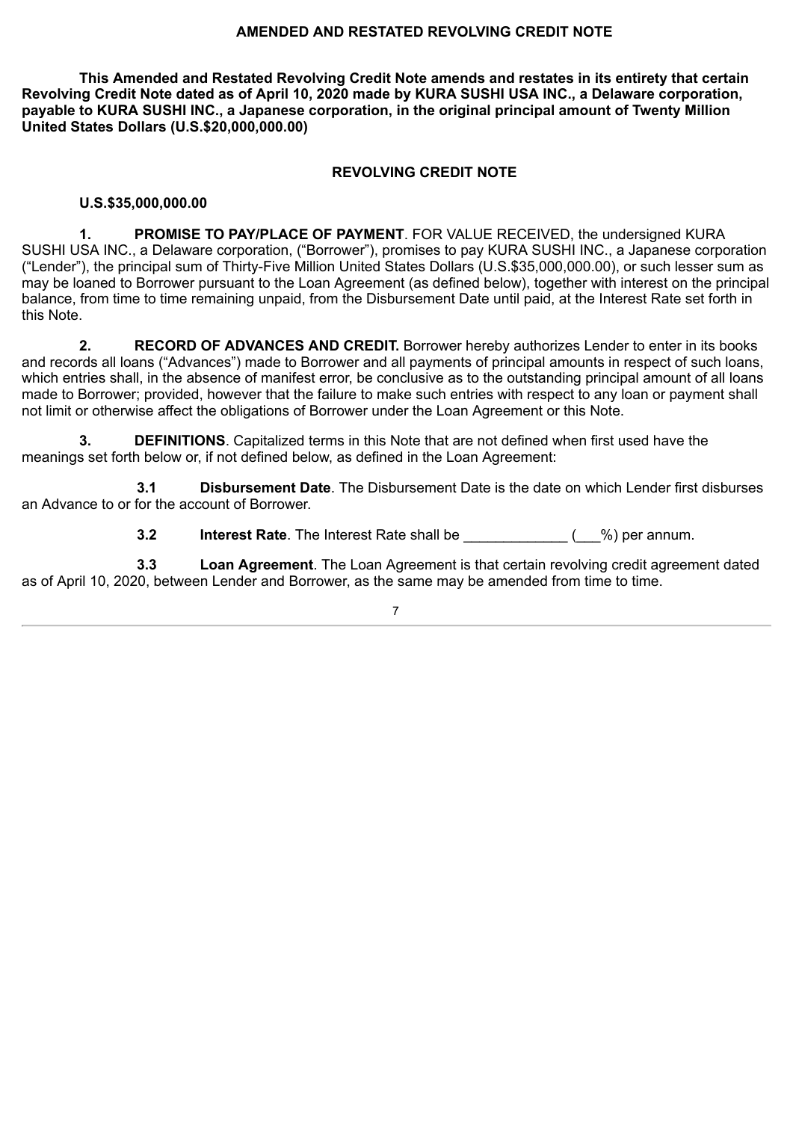#### **AMENDED AND RESTATED REVOLVING CREDIT NOTE**

**This Amended and Restated Revolving Credit Note amends and restates in its entirety that certain Revolving Credit Note dated as of April 10, 2020 made by KURA SUSHI USA INC., a Delaware corporation, payable to KURA SUSHI INC., a Japanese corporation, in the original principal amount of Twenty Million United States Dollars (U.S.\$20,000,000.00)**

## **REVOLVING CREDIT NOTE**

### **U.S.\$35,000,000.00**

**1. PROMISE TO PAY/PLACE OF PAYMENT**. FOR VALUE RECEIVED, the undersigned KURA SUSHI USA INC., a Delaware corporation, ("Borrower"), promises to pay KURA SUSHI INC., a Japanese corporation ("Lender"), the principal sum of Thirty-Five Million United States Dollars (U.S.\$35,000,000.00), or such lesser sum as may be loaned to Borrower pursuant to the Loan Agreement (as defined below), together with interest on the principal balance, from time to time remaining unpaid, from the Disbursement Date until paid, at the Interest Rate set forth in this Note.

**2. RECORD OF ADVANCES AND CREDIT.** Borrower hereby authorizes Lender to enter in its books and records all loans ("Advances") made to Borrower and all payments of principal amounts in respect of such loans, which entries shall, in the absence of manifest error, be conclusive as to the outstanding principal amount of all loans made to Borrower; provided, however that the failure to make such entries with respect to any loan or payment shall not limit or otherwise affect the obligations of Borrower under the Loan Agreement or this Note.

**3. DEFINITIONS**. Capitalized terms in this Note that are not defined when first used have the meanings set forth below or, if not defined below, as defined in the Loan Agreement:

**3.1 Disbursement Date**. The Disbursement Date is the date on which Lender first disburses an Advance to or for the account of Borrower.

**3.2 Interest Rate**. The Interest Rate shall be  $($  %) per annum.

**3.3 Loan Agreement**. The Loan Agreement is that certain revolving credit agreement dated as of April 10, 2020, between Lender and Borrower, as the same may be amended from time to time.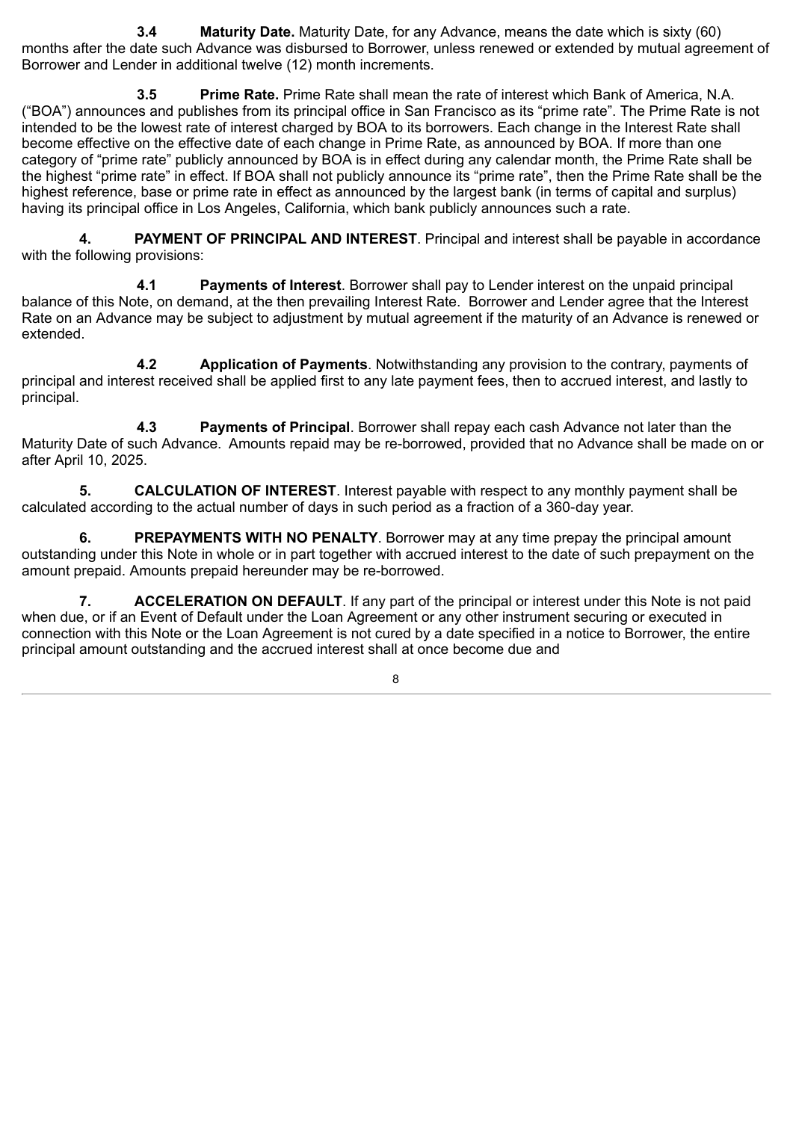**3.4 Maturity Date.** Maturity Date, for any Advance, means the date which is sixty (60) months after the date such Advance was disbursed to Borrower, unless renewed or extended by mutual agreement of Borrower and Lender in additional twelve (12) month increments.

**3.5 Prime Rate.** Prime Rate shall mean the rate of interest which Bank of America, N.A. ("BOA") announces and publishes from its principal office in San Francisco as its "prime rate". The Prime Rate is not intended to be the lowest rate of interest charged by BOA to its borrowers. Each change in the Interest Rate shall become effective on the effective date of each change in Prime Rate, as announced by BOA. If more than one category of "prime rate" publicly announced by BOA is in effect during any calendar month, the Prime Rate shall be the highest "prime rate" in effect. If BOA shall not publicly announce its "prime rate", then the Prime Rate shall be the highest reference, base or prime rate in effect as announced by the largest bank (in terms of capital and surplus) having its principal office in Los Angeles, California, which bank publicly announces such a rate.

**4. PAYMENT OF PRINCIPAL AND INTEREST**. Principal and interest shall be payable in accordance with the following provisions:

**4.1 Payments of Interest**. Borrower shall pay to Lender interest on the unpaid principal balance of this Note, on demand, at the then prevailing Interest Rate. Borrower and Lender agree that the Interest Rate on an Advance may be subject to adjustment by mutual agreement if the maturity of an Advance is renewed or extended.

**4.2 Application of Payments**. Notwithstanding any provision to the contrary, payments of principal and interest received shall be applied first to any late payment fees, then to accrued interest, and lastly to principal.

**4.3 Payments of Principal**. Borrower shall repay each cash Advance not later than the Maturity Date of such Advance. Amounts repaid may be re-borrowed, provided that no Advance shall be made on or after April 10, 2025.

**5. CALCULATION OF INTEREST**. Interest payable with respect to any monthly payment shall be calculated according to the actual number of days in such period as a fraction of a 360‑day year.

**6. PREPAYMENTS WITH NO PENALTY**. Borrower may at any time prepay the principal amount outstanding under this Note in whole or in part together with accrued interest to the date of such prepayment on the amount prepaid. Amounts prepaid hereunder may be re-borrowed.

**7. ACCELERATION ON DEFAULT**. If any part of the principal or interest under this Note is not paid when due, or if an Event of Default under the Loan Agreement or any other instrument securing or executed in connection with this Note or the Loan Agreement is not cured by a date specified in a notice to Borrower, the entire principal amount outstanding and the accrued interest shall at once become due and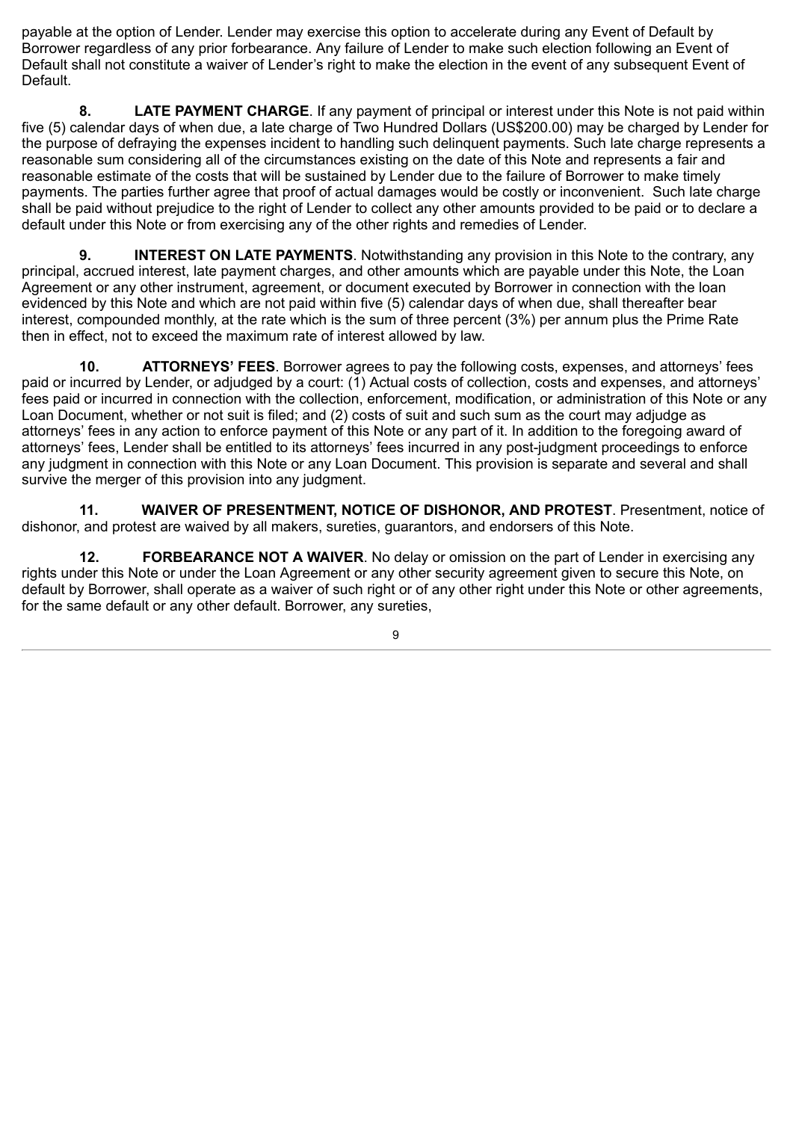payable at the option of Lender. Lender may exercise this option to accelerate during any Event of Default by Borrower regardless of any prior forbearance. Any failure of Lender to make such election following an Event of Default shall not constitute a waiver of Lender's right to make the election in the event of any subsequent Event of Default.

**8. LATE PAYMENT CHARGE**. If any payment of principal or interest under this Note is not paid within five (5) calendar days of when due, a late charge of Two Hundred Dollars (US\$200.00) may be charged by Lender for the purpose of defraying the expenses incident to handling such delinquent payments. Such late charge represents a reasonable sum considering all of the circumstances existing on the date of this Note and represents a fair and reasonable estimate of the costs that will be sustained by Lender due to the failure of Borrower to make timely payments. The parties further agree that proof of actual damages would be costly or inconvenient. Such late charge shall be paid without prejudice to the right of Lender to collect any other amounts provided to be paid or to declare a default under this Note or from exercising any of the other rights and remedies of Lender.

**9. INTEREST ON LATE PAYMENTS**. Notwithstanding any provision in this Note to the contrary, any principal, accrued interest, late payment charges, and other amounts which are payable under this Note, the Loan Agreement or any other instrument, agreement, or document executed by Borrower in connection with the loan evidenced by this Note and which are not paid within five (5) calendar days of when due, shall thereafter bear interest, compounded monthly, at the rate which is the sum of three percent (3%) per annum plus the Prime Rate then in effect, not to exceed the maximum rate of interest allowed by law.

**10. ATTORNEYS' FEES**. Borrower agrees to pay the following costs, expenses, and attorneys' fees paid or incurred by Lender, or adjudged by a court: (1) Actual costs of collection, costs and expenses, and attorneys' fees paid or incurred in connection with the collection, enforcement, modification, or administration of this Note or any Loan Document, whether or not suit is filed; and (2) costs of suit and such sum as the court may adjudge as attorneys' fees in any action to enforce payment of this Note or any part of it. In addition to the foregoing award of attorneys' fees, Lender shall be entitled to its attorneys' fees incurred in any post-judgment proceedings to enforce any judgment in connection with this Note or any Loan Document. This provision is separate and several and shall survive the merger of this provision into any judgment.

**11. WAIVER OF PRESENTMENT, NOTICE OF DISHONOR, AND PROTEST**. Presentment, notice of dishonor, and protest are waived by all makers, sureties, guarantors, and endorsers of this Note.

**12. FORBEARANCE NOT A WAIVER**. No delay or omission on the part of Lender in exercising any rights under this Note or under the Loan Agreement or any other security agreement given to secure this Note, on default by Borrower, shall operate as a waiver of such right or of any other right under this Note or other agreements, for the same default or any other default. Borrower, any sureties,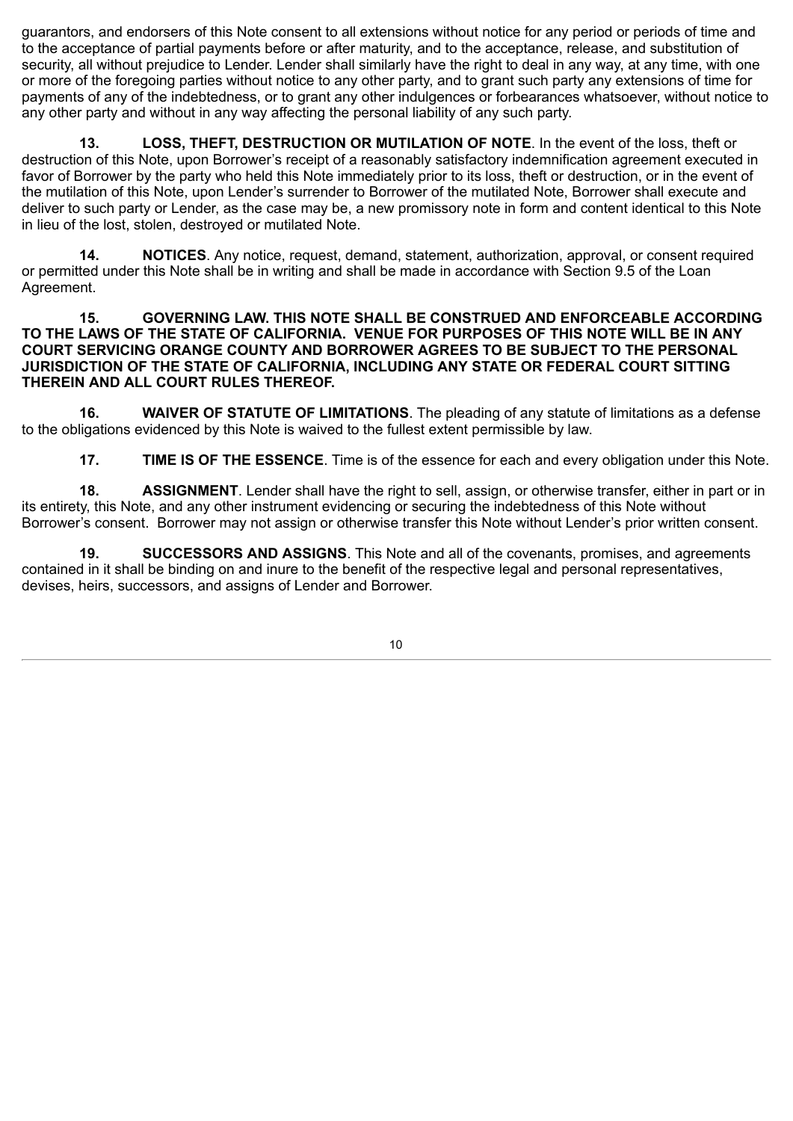guarantors, and endorsers of this Note consent to all extensions without notice for any period or periods of time and to the acceptance of partial payments before or after maturity, and to the acceptance, release, and substitution of security, all without prejudice to Lender. Lender shall similarly have the right to deal in any way, at any time, with one or more of the foregoing parties without notice to any other party, and to grant such party any extensions of time for payments of any of the indebtedness, or to grant any other indulgences or forbearances whatsoever, without notice to any other party and without in any way affecting the personal liability of any such party.

**13. LOSS, THEFT, DESTRUCTION OR MUTILATION OF NOTE**. In the event of the loss, theft or destruction of this Note, upon Borrower's receipt of a reasonably satisfactory indemnification agreement executed in favor of Borrower by the party who held this Note immediately prior to its loss, theft or destruction, or in the event of the mutilation of this Note, upon Lender's surrender to Borrower of the mutilated Note, Borrower shall execute and deliver to such party or Lender, as the case may be, a new promissory note in form and content identical to this Note in lieu of the lost, stolen, destroyed or mutilated Note.

**14. NOTICES**. Any notice, request, demand, statement, authorization, approval, or consent required or permitted under this Note shall be in writing and shall be made in accordance with Section 9.5 of the Loan Agreement.

#### **15. GOVERNING LAW. THIS NOTE SHALL BE CONSTRUED AND ENFORCEABLE ACCORDING TO THE LAWS OF THE STATE OF CALIFORNIA. VENUE FOR PURPOSES OF THIS NOTE WILL BE IN ANY COURT SERVICING ORANGE COUNTY AND BORROWER AGREES TO BE SUBJECT TO THE PERSONAL JURISDICTION OF THE STATE OF CALIFORNIA, INCLUDING ANY STATE OR FEDERAL COURT SITTING THEREIN AND ALL COURT RULES THEREOF.**

**16. WAIVER OF STATUTE OF LIMITATIONS**. The pleading of any statute of limitations as a defense to the obligations evidenced by this Note is waived to the fullest extent permissible by law.

**17. TIME IS OF THE ESSENCE**. Time is of the essence for each and every obligation under this Note.

**18. ASSIGNMENT**. Lender shall have the right to sell, assign, or otherwise transfer, either in part or in its entirety, this Note, and any other instrument evidencing or securing the indebtedness of this Note without Borrower's consent. Borrower may not assign or otherwise transfer this Note without Lender's prior written consent.

**19. SUCCESSORS AND ASSIGNS**. This Note and all of the covenants, promises, and agreements contained in it shall be binding on and inure to the benefit of the respective legal and personal representatives, devises, heirs, successors, and assigns of Lender and Borrower.